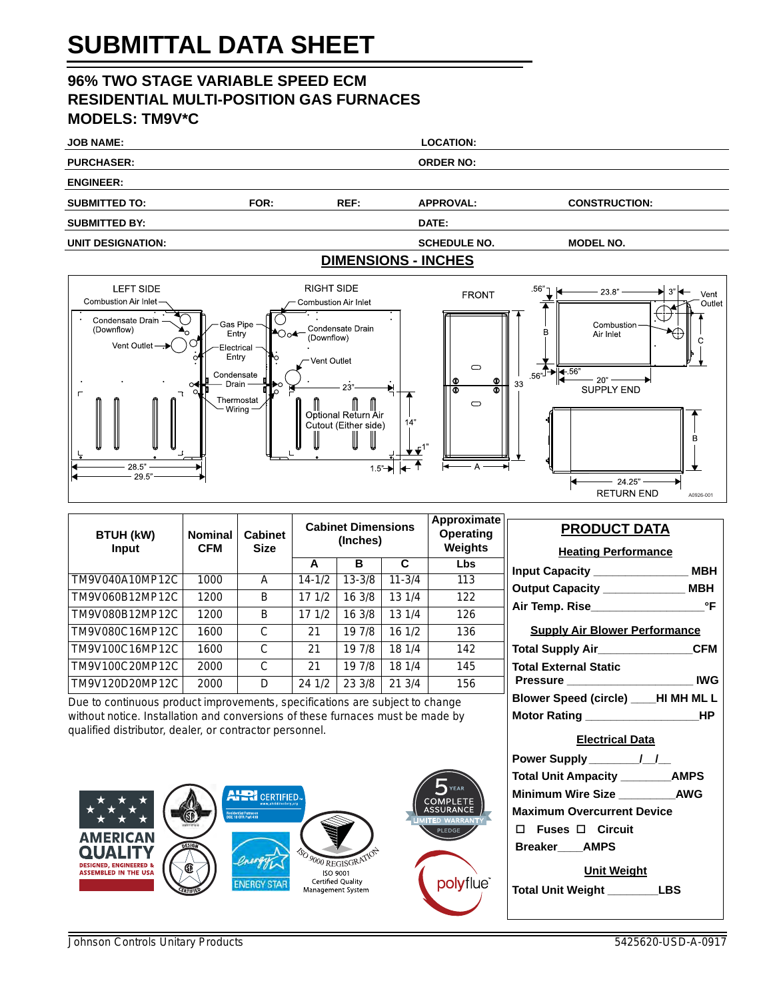# **SUBMITTAL DATA SHEET**

## **96% TWO STAGE VARIABLE SPEED ECM RESIDENTIAL MULTI-POSITION GAS FURNACES MODELS: TM9V\*C**

| <b>JOB NAME:</b>     |      |                | <b>LOCATION:</b>           |                      |  |
|----------------------|------|----------------|----------------------------|----------------------|--|
| <b>PURCHASER:</b>    |      |                | <b>ORDER NO:</b>           |                      |  |
| <b>ENGINEER:</b>     |      |                |                            |                      |  |
| <b>SUBMITTED TO:</b> | FOR: | REF:           | <b>APPROVAL:</b>           | <b>CONSTRUCTION:</b> |  |
| <b>SUBMITTED BY:</b> |      |                | DATE:                      |                      |  |
| UNIT DESIGNATION:    |      |                | <b>SCHEDULE NO.</b>        | <b>MODEL NO.</b>     |  |
|                      |      |                | <b>DIMENSIONS - INCHES</b> |                      |  |
|                      |      | _ . __ _ . _ _ |                            |                      |  |



| <b>BTUH (kW)</b><br><b>Input</b> | <b>Nominal</b><br><b>CFM</b> | <b>Cabinet</b><br><b>Size</b> | <b>Cabinet Dimensions</b><br>(Inches) |            |            | Approximate<br>Operating<br>Weights |
|----------------------------------|------------------------------|-------------------------------|---------------------------------------|------------|------------|-------------------------------------|
|                                  |                              |                               | A                                     | в          | C          | Lbs                                 |
| TM9V040A10MP12C                  | 1000                         | A                             | $14 - 1/2$                            | $13 - 3/8$ | $11 - 3/4$ | 113                                 |
| TM9V060B12MP12C                  | 1200                         | B                             | 171/2                                 | 16 3/8     | 13 1/4     | 122                                 |
| TM9V080B12MP12C                  | 1200                         | B                             | 171/2                                 | 16 3/8     | 13 1/4     | 126                                 |
| TM9V080C16MP12C                  | 1600                         | C                             | 21                                    | 19 7/8     | 16 1/2     | 136                                 |
| TM9V100C16MP12C                  | 1600                         | C                             | 21                                    | 19 7/8     | 18 1/4     | 142                                 |
| TM9V100C20MP12C                  | 2000                         | C                             | 21                                    | 19 7/8     | 18 1/4     | 145                                 |
| TM9V120D20MP12C                  | 2000                         | D                             | 24 1/2                                | 23 3/8     | 213/4      | 156                                 |

Due to continuous product improvements, specifications are subject to change without notice. Installation and conversions of these furnaces must be made by qualified distributor, dealer, or contractor personnel.



# **PRODUCT DATA Heating Performance Input Capacity \_\_\_\_\_\_\_\_\_\_\_\_\_\_\_ MBH Output Capacity \_\_\_\_\_\_\_\_\_\_\_\_\_ MBH Air Temp. Rise\_\_\_\_\_\_\_\_\_\_\_\_\_\_\_\_\_\_°F Supply Air Blower Performance Total Supply Air\_\_\_\_\_\_\_\_\_\_\_\_\_\_\_CFM Total External Static Pressure \_\_\_\_\_\_\_\_\_\_\_\_\_\_\_\_\_\_\_\_ IWG Blower Speed (circle) \_\_\_\_HI MH ML L Motor Rating \_\_\_\_\_\_\_\_\_\_\_\_\_\_\_\_\_\_HP Electrical Data Power Supply \_\_\_\_\_\_\_\_/\_\_/\_\_ Total Unit Ampacity \_\_\_\_\_\_\_\_AMPS Minimum Wire Size \_\_\_\_\_\_\_\_\_AWG Maximum Overcurrent Device Fuses Circuit Breaker\_\_\_\_AMPS Unit Weight Total Unit Weight \_\_\_\_\_\_\_\_LBS**